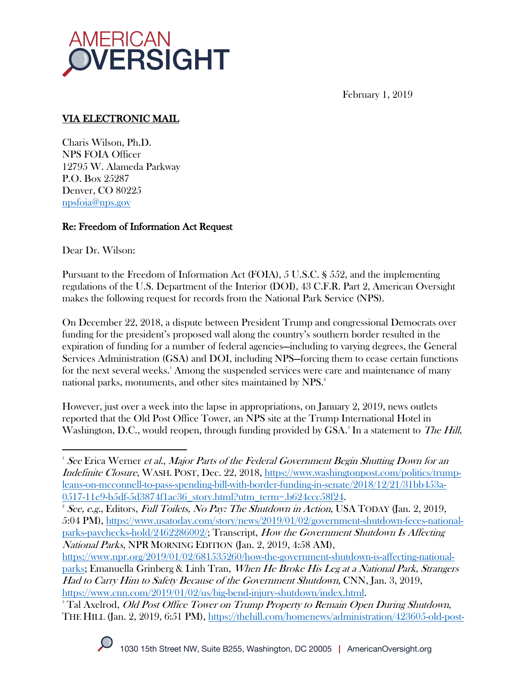

February 1, 2019

# VIA ELECTRONIC MAIL

Charis Wilson, Ph.D. NPS FOIA Officer 12795 W. Alameda Parkway P.O. Box 25287 Denver, CO 80225 npsfoia@nps.gov

### Re: Freedom of Information Act Request

Dear Dr. Wilson:

 $\overline{a}$ 

Pursuant to the Freedom of Information Act (FOIA), 5 U.S.C. § 552, and the implementing regulations of the U.S. Department of the Interior (DOI), 43 C.F.R. Part 2, American Oversight makes the following request for records from the National Park Service (NPS).

On December 22, 2018, a dispute between President Trump and congressional Democrats over funding for the president's proposed wall along the country's southern border resulted in the expiration of funding for a number of federal agencies—including to varying degrees, the General Services Administration (GSA) and DOI, including NPS—forcing them to cease certain functions for the next several weeks.' Among the suspended services were care and maintenance of many national parks, monuments, and other sites maintained by NPS.<sup>2</sup>

However, just over a week into the lapse in appropriations, on January 2, 2019, news outlets reported that the Old Post Office Tower, an NPS site at the Trump International Hotel in Washington, D.C., would reopen, through funding provided by GSA.<sup>3</sup> In a statement to *The Hill*,

 $1$  See Erica Werner *et al., Major Parts of the Federal Government Begin Shutting Down for an* Indefinite Closure, WASH. POST, Dec. 22, 2018, https://www.washingtonpost.com/politics/trumpleans-on-mcconnell-to-pass-spending-bill-with-border-funding-in-senate/2018/12/21/31bb453a-

THE HILL (Jan. 2, 2019, 6:51 PM), https://thehill.com/homenews/administration/423605-old-post-



 $\underline{0517-11e9-b5df-5d3874f1ac36\_story.html?utm_term=}.b624ccc58f24.$ <br>
<sup>2</sup> See, e.g., Editors, Full Toilets, No Pay: The Shutdown in Action, USA TODAY (Jan. 2, 2019, 5:04 PM), https://www.usatoday.com/story/news/2019/01/02/government-shutdown-feces-nationalparks-paychecks-hold/2462286002/; Transcript, How the Government Shutdown Is Affecting National Parks, NPR MORNING EDITION (Jan. 2, 2019, 4:58 AM),

https://www.npr.org/2019/01/02/681535260/how-the-government-shutdown-is-affecting-nationalparks; Emanuella Grinberg & Linh Tran, When He Broke His Leg at a National Park, Strangers Had to Carry Him to Safety Because of the Government Shutdown, CNN, Jan. 3, 2019, https://www.cnn.com/2019/01/02/us/big-bend-injury-shutdown/index.html.<br><sup>3</sup> Tal Axelrod, *Old Post Office Tower on Trump Property to Remain Open During Shutdown*,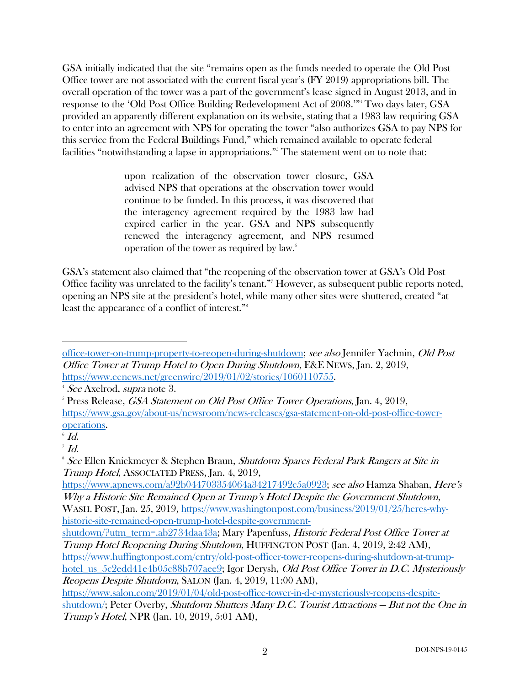GSA initially indicated that the site "remains open as the funds needed to operate the Old Post Office tower are not associated with the current fiscal year's (FY 2019) appropriations bill. The overall operation of the tower was a part of the government's lease signed in August 2013, and in response to the 'Old Post Office Building Redevelopment Act of 2008.'" <sup>4</sup> Two days later, GSA provided an apparently different explanation on its website, stating that a 1983 law requiring GSA to enter into an agreement with NPS for operating the tower "also authorizes GSA to pay NPS for this service from the Federal Buildings Fund," which remained available to operate federal facilities "notwithstanding a lapse in appropriations."<sup>5</sup> The statement went on to note that:

> upon realization of the observation tower closure, GSA advised NPS that operations at the observation tower would continue to be funded. In this process, it was discovered that the interagency agreement required by the 1983 law had expired earlier in the year. GSA and NPS subsequently renewed the interagency agreement, and NPS resumed operation of the tower as required by law.6

GSA's statement also claimed that "the reopening of the observation tower at GSA's Old Post Office facility was unrelated to the facility's tenant."7 However, as subsequent public reports noted, opening an NPS site at the president's hotel, while many other sites were shuttered, created "at least the appearance of a conflict of interest."8

office-tower-on-trump-property-to-reopen-during-shutdown; see also Jennifer Yachnin, Old Post Office Tower at Trump Hotel to Open During Shutdown, E&E NEWS, Jan. 2, 2019, https://www.eenews.net/greenwire/2019/01/02/stories/1060110755. 4

<sup>&</sup>lt;sup>4</sup> See Axelrod, *supra* note 3.

<sup>&</sup>lt;sup>5</sup> Press Release, *GSA Statement on Old Post Office Tower Operations*, Jan. 4, 2019, https://www.gsa.gov/about-us/newsroom/news-releases/gsa-statement-on-old-post-office-toweroperations.

 $\mathcal{I}$   $Id.$ 

 $^7$   $Id.$ 

<sup>&</sup>lt;sup>8</sup> See Ellen Knickmeyer & Stephen Braun, Shutdown Spares Federal Park Rangers at Site in Trump Hotel, ASSOCIATED PRESS, Jan. 4, 2019,

https://www.apnews.com/a92b044703354064a34217492c5a0923; see also Hamza Shaban, Here's Why a Historic Site Remained Open at Trump's Hotel Despite the Government Shutdown, WASH. POST, Jan. 25, 2019, https://www.washingtonpost.com/business/2019/01/25/heres-whyhistoric-site-remained-open-trump-hotel-despite-government-

shutdown/?utm\_term=.ab2734daa43a; Mary Papenfuss, Historic Federal Post Office Tower at Trump Hotel Reopening During Shutdown, HUFFINGTON POST (Jan. 4, 2019, 2:42 AM), https://www.huffingtonpost.com/entry/old-post-officer-tower-reopens-during-shutdown-at-trump-

hotel\_us\_5c2edd41e4b05c88b707aee9; Igor Derysh, Old Post Office Tower in D.C. Mysteriously Reopens Despite Shutdown, SALON (Jan. 4, 2019, 11:00 AM),

https://www.salon.com/2019/01/04/old-post-office-tower-in-d-c-mysteriously-reopens-despiteshutdown/; Peter Overby, *Shutdown Shutters Many D.C. Tourist Attractions – But not the One in* Trump's Hotel, NPR (Jan. 10, 2019, 5:01 AM),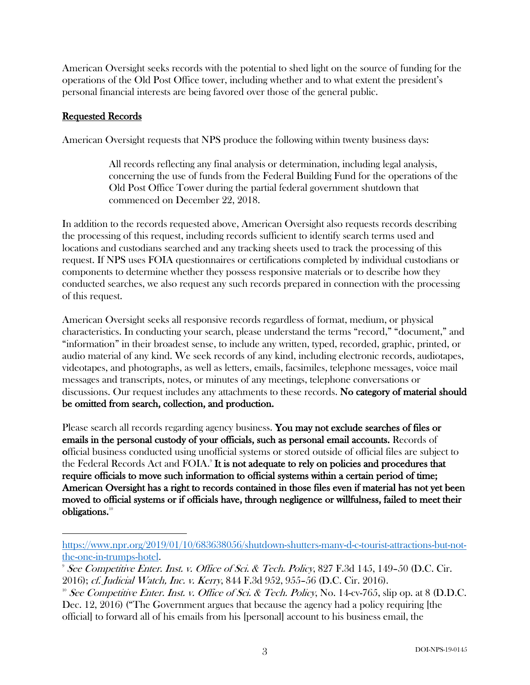American Oversight seeks records with the potential to shed light on the source of funding for the operations of the Old Post Office tower, including whether and to what extent the president's personal financial interests are being favored over those of the general public.

#### Requested Records

 $\overline{a}$ 

American Oversight requests that NPS produce the following within twenty business days:

All records reflecting any final analysis or determination, including legal analysis, concerning the use of funds from the Federal Building Fund for the operations of the Old Post Office Tower during the partial federal government shutdown that commenced on December 22, 2018.

In addition to the records requested above, American Oversight also requests records describing the processing of this request, including records sufficient to identify search terms used and locations and custodians searched and any tracking sheets used to track the processing of this request. If NPS uses FOIA questionnaires or certifications completed by individual custodians or components to determine whether they possess responsive materials or to describe how they conducted searches, we also request any such records prepared in connection with the processing of this request.

American Oversight seeks all responsive records regardless of format, medium, or physical characteristics. In conducting your search, please understand the terms "record," "document," and "information" in their broadest sense, to include any written, typed, recorded, graphic, printed, or audio material of any kind. We seek records of any kind, including electronic records, audiotapes, videotapes, and photographs, as well as letters, emails, facsimiles, telephone messages, voice mail messages and transcripts, notes, or minutes of any meetings, telephone conversations or discussions. Our request includes any attachments to these records. No category of material should be omitted from search, collection, and production.

Please search all records regarding agency business. You may not exclude searches of files or emails in the personal custody of your officials, such as personal email accounts. Records of official business conducted using unofficial systems or stored outside of official files are subject to the Federal Records Act and FOIA.<sup>9</sup> It is not adequate to rely on policies and procedures that require officials to move such information to official systems within a certain period of time; American Oversight has a right to records contained in those files even if material has not yet been moved to official systems or if officials have, through negligence or willfulness, failed to meet their obligations.10

https://www.npr.org/2019/01/10/683638056/shutdown-shutters-many-d-c-tourist-attractions-but-notthe-one-in-trumps-hotel.

<sup>9</sup> See Competitive Enter. Inst. v. Office of Sci. & Tech. Policy, 827 F.3d 145, 149–50 (D.C. Cir.

<sup>2016);</sup> cf. Judicial Watch, Inc. v. Kerry, 844 F.3d 952, 955–56 (D.C. Cir. 2016).<br><sup>10</sup> See Competitive Enter. Inst. v. Office of Sci. & Tech. Policy, No. 14-cv-765, slip op. at 8 (D.D.C. Dec. 12, 2016) ("The Government argues that because the agency had a policy requiring [the

official] to forward all of his emails from his [personal] account to his business email, the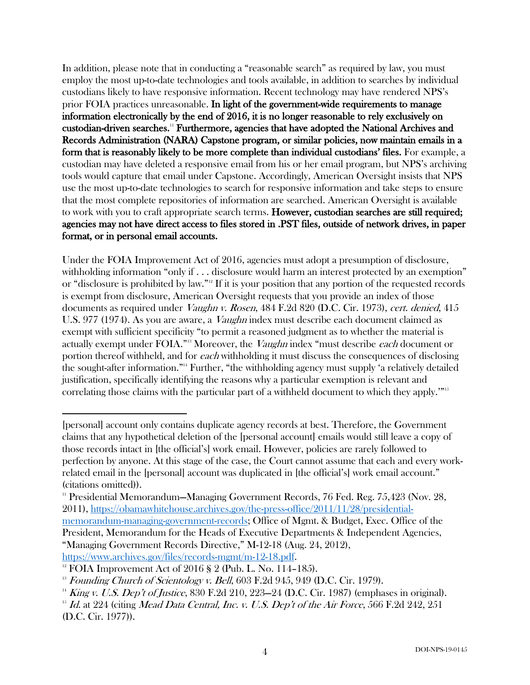In addition, please note that in conducting a "reasonable search" as required by law, you must employ the most up-to-date technologies and tools available, in addition to searches by individual custodians likely to have responsive information. Recent technology may have rendered NPS's prior FOIA practices unreasonable. In light of the government-wide requirements to manage information electronically by the end of 2016, it is no longer reasonable to rely exclusively on custodian-driven searches.11 Furthermore, agencies that have adopted the National Archives and Records Administration (NARA) Capstone program, or similar policies, now maintain emails in a form that is reasonably likely to be more complete than individual custodians' files. For example, a custodian may have deleted a responsive email from his or her email program, but NPS's archiving tools would capture that email under Capstone. Accordingly, American Oversight insists that NPS use the most up-to-date technologies to search for responsive information and take steps to ensure that the most complete repositories of information are searched. American Oversight is available to work with you to craft appropriate search terms. **However, custodian searches are still required;** agencies may not have direct access to files stored in .PST files, outside of network drives, in paper format, or in personal email accounts.

Under the FOIA Improvement Act of 2016, agencies must adopt a presumption of disclosure, withholding information "only if . . . disclosure would harm an interest protected by an exemption" or "disclosure is prohibited by law."12 If it is your position that any portion of the requested records is exempt from disclosure, American Oversight requests that you provide an index of those documents as required under *Vaughn v. Rosen*, 484 F.2d 820 (D.C. Cir. 1973), *cert. denied*, 415 U.S. 977 (1974). As you are aware, a *Vaughn* index must describe each document claimed as exempt with sufficient specificity "to permit a reasoned judgment as to whether the material is actually exempt under FOIA."<sup>13</sup> Moreover, the *Vaughn* index "must describe each document or portion thereof withheld, and for each withholding it must discuss the consequences of disclosing the sought-after information."14 Further, "the withholding agency must supply 'a relatively detailed justification, specifically identifying the reasons why a particular exemption is relevant and correlating those claims with the particular part of a withheld document to which they apply.'"15

<sup>[</sup>personal] account only contains duplicate agency records at best. Therefore, the Government claims that any hypothetical deletion of the [personal account] emails would still leave a copy of those records intact in [the official's] work email. However, policies are rarely followed to perfection by anyone. At this stage of the case, the Court cannot assume that each and every workrelated email in the [personal] account was duplicated in [the official's] work email account." (citations omitted)).

<sup>11</sup> Presidential Memorandum—Managing Government Records, 76 Fed. Reg. 75,423 (Nov. 28, 2011), https://obamawhitehouse.archives.gov/the-press-office/2011/11/28/presidentialmemorandum-managing-government-records; Office of Mgmt. & Budget, Exec. Office of the President, Memorandum for the Heads of Executive Departments & Independent Agencies, "Managing Government Records Directive," M-12-18 (Aug. 24, 2012), https://www.archives.gov/files/records-mgmt/m-12-18.pdf.

<sup>&</sup>lt;sup>12</sup> FOIA Improvement Act of 2016 § 2 (Pub. L. No. 114–185).

 $13$  Founding Church of Scientology v. Bell, 603 F.2d 945, 949 (D.C. Cir. 1979).

<sup>&</sup>lt;sup>14</sup> King v. U.S. Dep't of Justice, 830 F.2d 210, 223–24 (D.C. Cir. 1987) (emphases in original).

 $15$  Id. at 224 (citing Mead Data Central, Inc. v. U.S. Dep't of the Air Force, 566 F.2d 242, 251 (D.C. Cir. 1977)).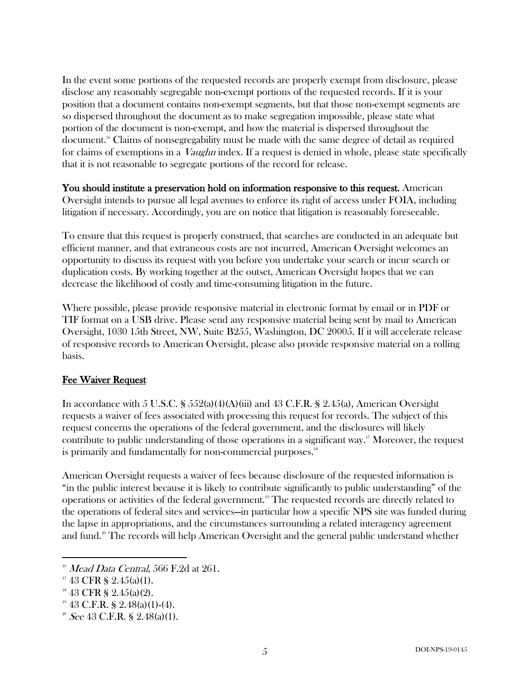In the event some portions of the requested records are properly exempt from disclosure, please disclose any reasonably segregable non-exempt portions of the requested records. If it is your position that a document contains non-exempt segments, but that those non-exempt segments are so dispersed throughout the document as to make segregation impossible, please state what portion of the document is non-exempt, and how the material is dispersed throughout the document.16 Claims of nonsegregability must be made with the same degree of detail as required for claims of exemptions in a *Vaughn* index. If a request is denied in whole, please state specifically that it is not reasonable to segregate portions of the record for release.

You should institute a preservation hold on information responsive to this request. American Oversight intends to pursue all legal avenues to enforce its right of access under FOIA, including litigation if necessary. Accordingly, you are on notice that litigation is reasonably foreseeable.

To ensure that this request is properly construed, that searches are conducted in an adequate but efficient manner, and that extraneous costs are not incurred, American Oversight welcomes an opportunity to discuss its request with you before you undertake your search or incur search or duplication costs. By working together at the outset, American Oversight hopes that we can decrease the likelihood of costly and time-consuming litigation in the future.

Where possible, please provide responsive material in electronic format by email or in PDF or TIF format on a USB drive. Please send any responsive material being sent by mail to American Oversight, 1030 15th Street, NW, Suite B255, Washington, DC 20005. If it will accelerate release of responsive records to American Oversight, please also provide responsive material on a rolling basis.

## Fee Waiver Request

In accordance with 5 U.S.C. §  $552(a)(4)(A)(iii)$  and 43 C.F.R. § 2.45(a), American Oversight requests a waiver of fees associated with processing this request for records. The subject of this request concerns the operations of the federal government, and the disclosures will likely contribute to public understanding of those operations in a significant way.<sup>17</sup> Moreover, the request is primarily and fundamentally for non-commercial purposes.<sup>18</sup>

American Oversight requests a waiver of fees because disclosure of the requested information is "in the public interest because it is likely to contribute significantly to public understanding" of the operations or activities of the federal government.19 The requested records are directly related to the operations of federal sites and services—in particular how a specific NPS site was funded during the lapse in appropriations, and the circumstances surrounding a related interagency agreement and fund.<sup>20</sup> The records will help American Oversight and the general public understand whether

 $16$  Mead Data Central, 566 F.2d at 261.

 $17\,43$  CFR § 2.45(a)(1).

 $18$  43 CFR § 2.45(a)(2).

<sup>&</sup>lt;sup>19</sup> 43 C.F.R. § 2.48(a)(1)-(4).<br><sup>20</sup> See 43 C.F.R. § 2.48(a)(1).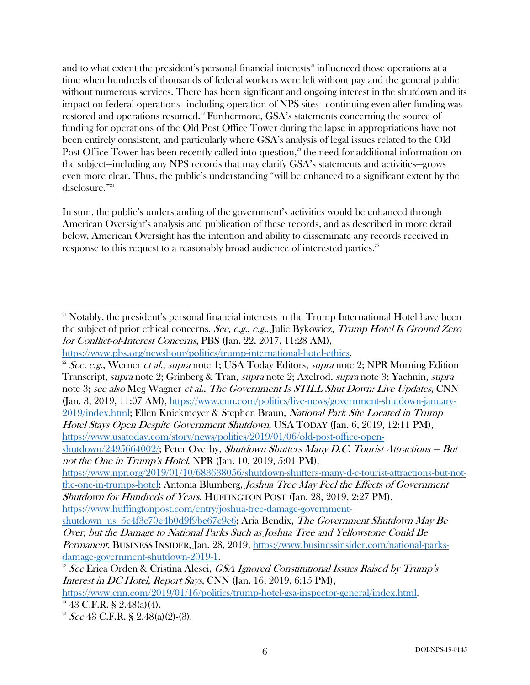and to what extent the president's personal financial interests<sup>21</sup> influenced those operations at a time when hundreds of thousands of federal workers were left without pay and the general public without numerous services. There has been significant and ongoing interest in the shutdown and its impact on federal operations—including operation of NPS sites—continuing even after funding was restored and operations resumed.<sup>22</sup> Furthermore, GSA's statements concerning the source of funding for operations of the Old Post Office Tower during the lapse in appropriations have not been entirely consistent, and particularly where GSA's analysis of legal issues related to the Old Post Office Tower has been recently called into question,<sup>23</sup> the need for additional information on the subject—including any NPS records that may clarify GSA's statements and activities—grows even more clear. Thus, the public's understanding "will be enhanced to a significant extent by the disclosure." 24

In sum, the public's understanding of the government's activities would be enhanced through American Oversight's analysis and publication of these records, and as described in more detail below, American Oversight has the intention and ability to disseminate any records received in response to this request to a reasonably broad audience of interested parties. $^{25}$ 

Hotel Stays Open Despite Government Shutdown, USA TODAY (Jan. 6, 2019, 12:11 PM), https://www.usatoday.com/story/news/politics/2019/01/06/old-post-office-open-

https://www.npr.org/2019/01/10/683638056/shutdown-shutters-many-d-c-tourist-attractions-but-notthe-one-in-trumps-hotel; Antonia Blumberg, *Joshua Tree May Feel the Effects of Government* Shutdown for Hundreds of Years, HUFFINGTON POST (Jan. 28, 2019, 2:27 PM), https://www.huffingtonpost.com/entry/joshua-tree-damage-government-

shutdown\_us\_5c4f3c70e4b0d9f9be67c9c6; Aria Bendix, The Government Shutdown May Be

https://www.cnn.com/2019/01/16/politics/trump-hotel-gsa-inspector-general/index.html.

 $21$  Notably, the president's personal financial interests in the Trump International Hotel have been the subject of prior ethical concerns. See, e.g., e.g., Julie Bykowicz, Trump Hotel Is Ground Zero for Conflict-of-Interest Concerns, PBS (Jan. 22, 2017, 11:28 AM),

https://www.pbs.org/newshour/politics/trump-international-hotel-ethics.

<sup>&</sup>lt;sup>22</sup> See, e.g., Werner et al., supra note 1; USA Today Editors, supra note 2; NPR Morning Edition Transcript, supra note 2; Grinberg & Tran, supra note 2; Axelrod, supra note 3; Yachnin, supra note 3; see also Meg Wagner *et al., The Government Is STILL Shut Down: Live Updates*, CNN (Jan. 3, 2019, 11:07 AM), https://www.cnn.com/politics/live-news/government-shutdown-january-2019/index.html; Ellen Knickmeyer & Stephen Braun, National Park Site Located in Trump

shutdown/2495664002/; Peter Overby, Shutdown Shutters Many D.C. Tourist Attractions — But not the One in Trump's Hotel, NPR (Jan. 10, 2019, 5:01 PM),

Over, but the Damage to National Parks Such as Joshua Tree and Yellowstone Could Be Permanent, BUSINESS INSIDER, Jan. 28, 2019, https://www.businessinsider.com/national-parks-

damage-government-shutdown-2019-1.<br><sup>23</sup> See Erica Orden & Cristina Alesci, *GSA Ignored Constitutional Issues Raised by Trump's* Interest in DC Hotel, Report Says, CNN (Jan. 16, 2019, 6:15 PM),

 $24$  43 C.F.R. § 2.48(a)(4).

<sup>&</sup>lt;sup>25</sup> See 43 C.F.R. § 2.48(a)(2)-(3).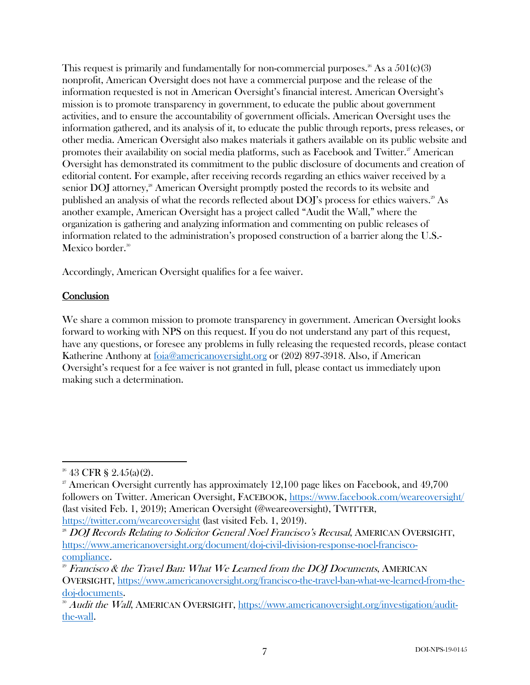This request is primarily and fundamentally for non-commercial purposes.<sup>26</sup> As a  $501(c)(3)$ nonprofit, American Oversight does not have a commercial purpose and the release of the information requested is not in American Oversight's financial interest. American Oversight's mission is to promote transparency in government, to educate the public about government activities, and to ensure the accountability of government officials. American Oversight uses the information gathered, and its analysis of it, to educate the public through reports, press releases, or other media. American Oversight also makes materials it gathers available on its public website and promotes their availability on social media platforms, such as Facebook and Twitter.<sup>27</sup> American Oversight has demonstrated its commitment to the public disclosure of documents and creation of editorial content. For example, after receiving records regarding an ethics waiver received by a senior  $\text{DOJ}$  attorney,<sup>28</sup> American Oversight promptly posted the records to its website and published an analysis of what the records reflected about DOJ's process for ethics waivers.<sup>29</sup> As another example, American Oversight has a project called "Audit the Wall," where the organization is gathering and analyzing information and commenting on public releases of information related to the administration's proposed construction of a barrier along the U.S.- Mexico border.<sup>30</sup>

Accordingly, American Oversight qualifies for a fee waiver.

### **Conclusion**

We share a common mission to promote transparency in government. American Oversight looks forward to working with NPS on this request. If you do not understand any part of this request, have any questions, or foresee any problems in fully releasing the requested records, please contact Katherine Anthony at foia@americanoversight.org or (202) 897-3918. Also, if American Oversight's request for a fee waiver is not granted in full, please contact us immediately upon making such a determination.

 $26$  43 CFR § 2.45(a)(2).

 $27$  American Oversight currently has approximately 12,100 page likes on Facebook, and 49,700 followers on Twitter. American Oversight, FACEBOOK, https://www.facebook.com/weareoversight/ (last visited Feb. 1, 2019); American Oversight (@weareoversight), TWITTER,

https://twitter.com/weareoversight (last visited Feb. 1, 2019).

<sup>&</sup>lt;sup>28</sup> DOJ Records Relating to Solicitor General Noel Francisco's Recusal, AMERICAN OVERSIGHT, https://www.americanoversight.org/document/doj-civil-division-response-noel-francisco-

<sup>&</sup>lt;u>compliance</u>.<br><sup>29</sup> Francisco & the Travel Ban: What We Learned from the DOJ Documents, AMERICAN OVERSIGHT, https://www.americanoversight.org/francisco-the-travel-ban-what-we-learned-from-thedoj-documents.

<sup>&</sup>lt;sup>30</sup> Audit the Wall, AMERICAN OVERSIGHT, https://www.americanoversight.org/investigation/auditthe-wall.